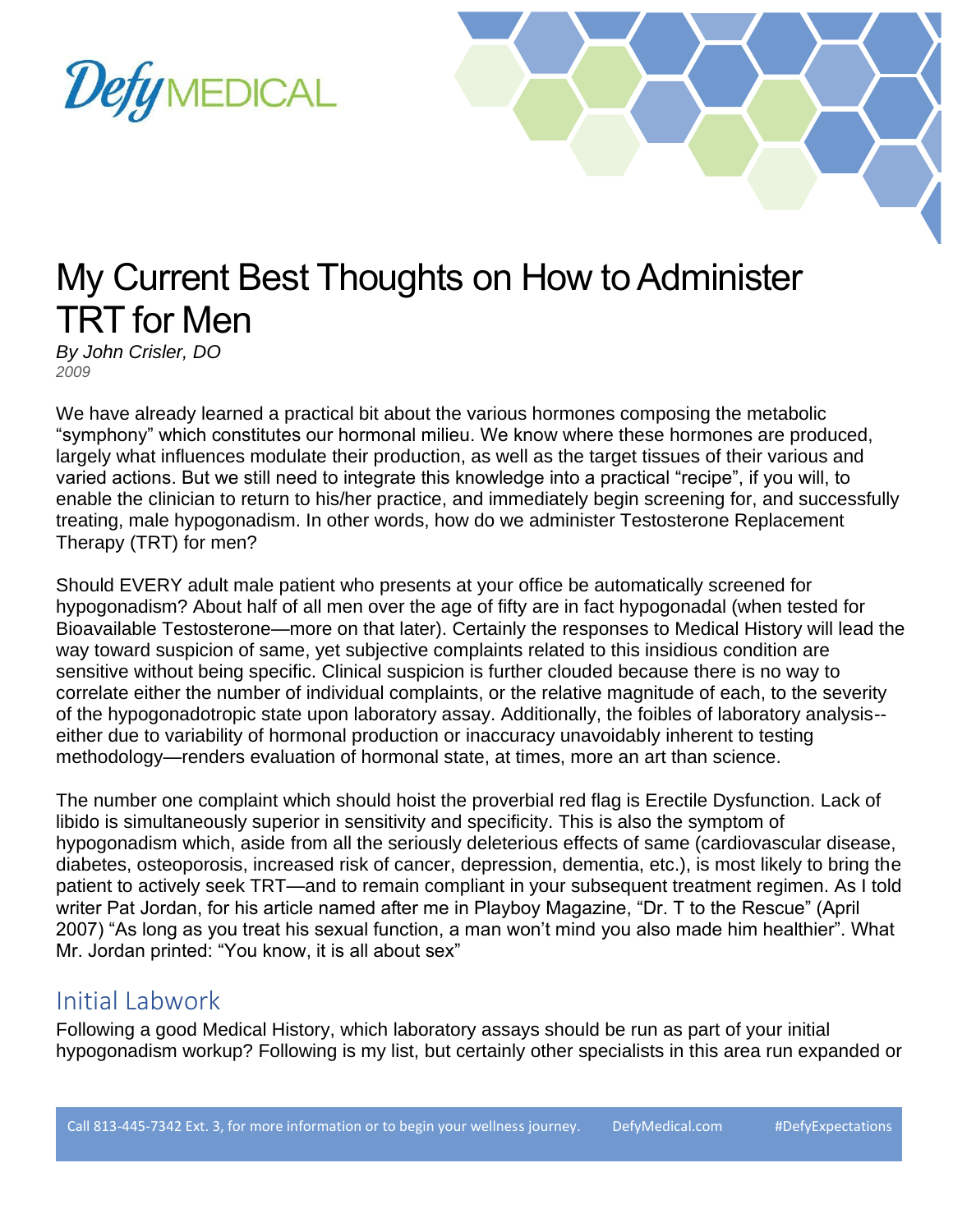



# My Current Best Thoughts on How to Administer TRT for Men

*By John Crisler, DO 2009*

We have already learned a practical bit about the various hormones composing the metabolic "symphony" which constitutes our hormonal milieu. We know where these hormones are produced, largely what influences modulate their production, as well as the target tissues of their various and varied actions. But we still need to integrate this knowledge into a practical "recipe", if you will, to enable the clinician to return to his/her practice, and immediately begin screening for, and successfully treating, male hypogonadism. In other words, how do we administer Testosterone Replacement Therapy (TRT) for men?

Should EVERY adult male patient who presents at your office be automatically screened for hypogonadism? About half of all men over the age of fifty are in fact hypogonadal (when tested for Bioavailable Testosterone—more on that later). Certainly the responses to Medical History will lead the way toward suspicion of same, yet subjective complaints related to this insidious condition are sensitive without being specific. Clinical suspicion is further clouded because there is no way to correlate either the number of individual complaints, or the relative magnitude of each, to the severity of the hypogonadotropic state upon laboratory assay. Additionally, the foibles of laboratory analysis- either due to variability of hormonal production or inaccuracy unavoidably inherent to testing methodology—renders evaluation of hormonal state, at times, more an art than science.

The number one complaint which should hoist the proverbial red flag is Erectile Dysfunction. Lack of libido is simultaneously superior in sensitivity and specificity. This is also the symptom of hypogonadism which, aside from all the seriously deleterious effects of same (cardiovascular disease, diabetes, osteoporosis, increased risk of cancer, depression, dementia, etc.), is most likely to bring the patient to actively seek TRT—and to remain compliant in your subsequent treatment regimen. As I told writer Pat Jordan, for his article named after me in Playboy Magazine, "Dr. T to the Rescue" (April 2007) "As long as you treat his sexual function, a man won't mind you also made him healthier". What Mr. Jordan printed: "You know, it is all about sex"

# Initial Labwork

Following a good Medical History, which laboratory assays should be run as part of your initial hypogonadism workup? Following is my list, but certainly other specialists in this area run expanded or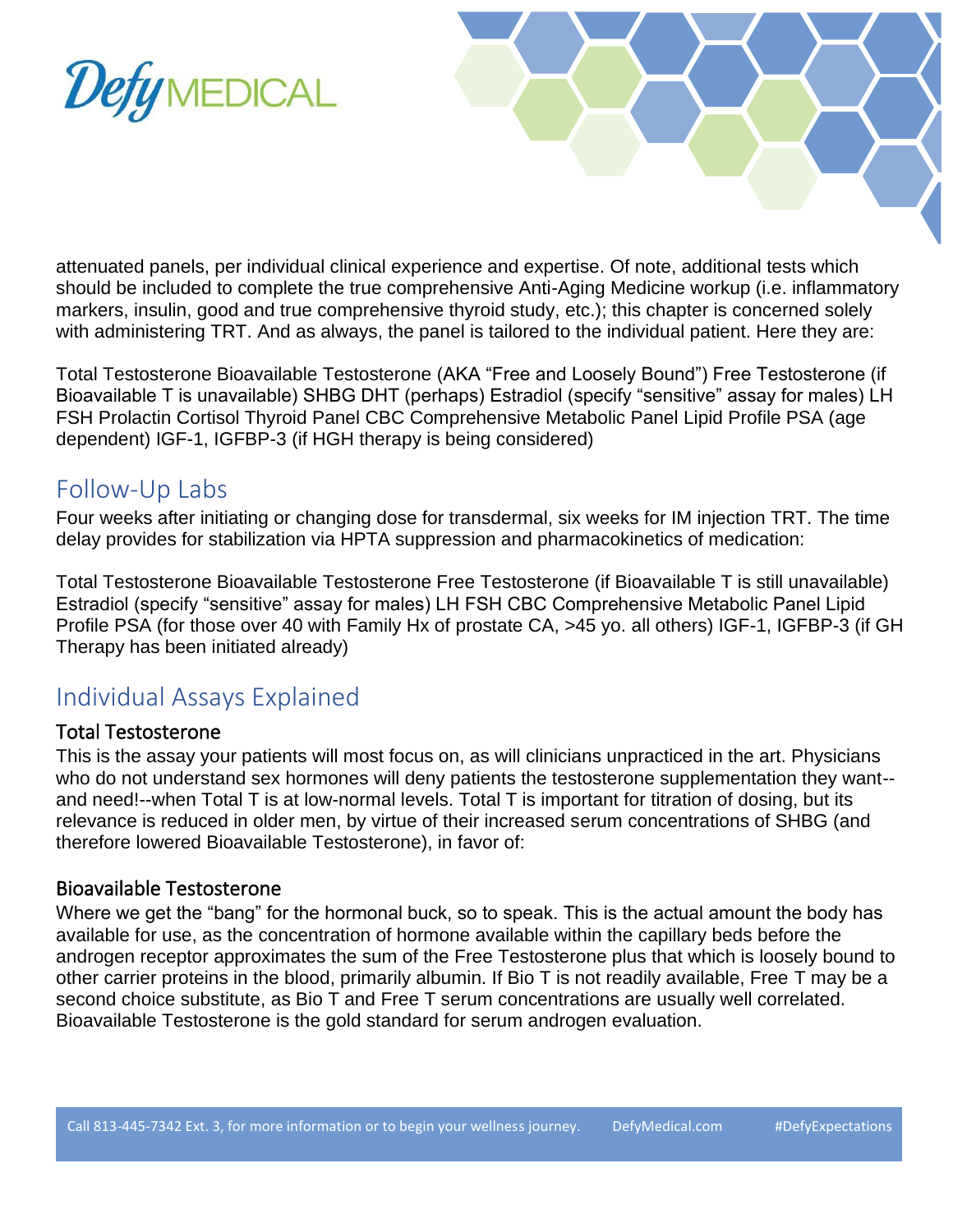



attenuated panels, per individual clinical experience and expertise. Of note, additional tests which should be included to complete the true comprehensive Anti-Aging Medicine workup (i.e. inflammatory markers, insulin, good and true comprehensive thyroid study, etc.); this chapter is concerned solely with administering TRT. And as always, the panel is tailored to the individual patient. Here they are:

Total Testosterone Bioavailable Testosterone (AKA "Free and Loosely Bound") Free Testosterone (if Bioavailable T is unavailable) SHBG DHT (perhaps) Estradiol (specify "sensitive" assay for males) LH FSH Prolactin Cortisol Thyroid Panel CBC Comprehensive Metabolic Panel Lipid Profile PSA (age dependent) IGF-1, IGFBP-3 (if HGH therapy is being considered)

# Follow-Up Labs

Four weeks after initiating or changing dose for transdermal, six weeks for IM injection TRT. The time delay provides for stabilization via HPTA suppression and pharmacokinetics of medication:

Total Testosterone Bioavailable Testosterone Free Testosterone (if Bioavailable T is still unavailable) Estradiol (specify "sensitive" assay for males) LH FSH CBC Comprehensive Metabolic Panel Lipid Profile PSA (for those over 40 with Family Hx of prostate CA, >45 yo. all others) IGF-1, IGFBP-3 (if GH Therapy has been initiated already)

# Individual Assays Explained

#### Total Testosterone

This is the assay your patients will most focus on, as will clinicians unpracticed in the art. Physicians who do not understand sex hormones will deny patients the testosterone supplementation they want-and need!--when Total T is at low-normal levels. Total T is important for titration of dosing, but its relevance is reduced in older men, by virtue of their increased serum concentrations of SHBG (and therefore lowered Bioavailable Testosterone), in favor of:

#### Bioavailable Testosterone

Where we get the "bang" for the hormonal buck, so to speak. This is the actual amount the body has available for use, as the concentration of hormone available within the capillary beds before the androgen receptor approximates the sum of the Free Testosterone plus that which is loosely bound to other carrier proteins in the blood, primarily albumin. If Bio T is not readily available, Free T may be a second choice substitute, as Bio T and Free T serum concentrations are usually well correlated. Bioavailable Testosterone is the gold standard for serum androgen evaluation.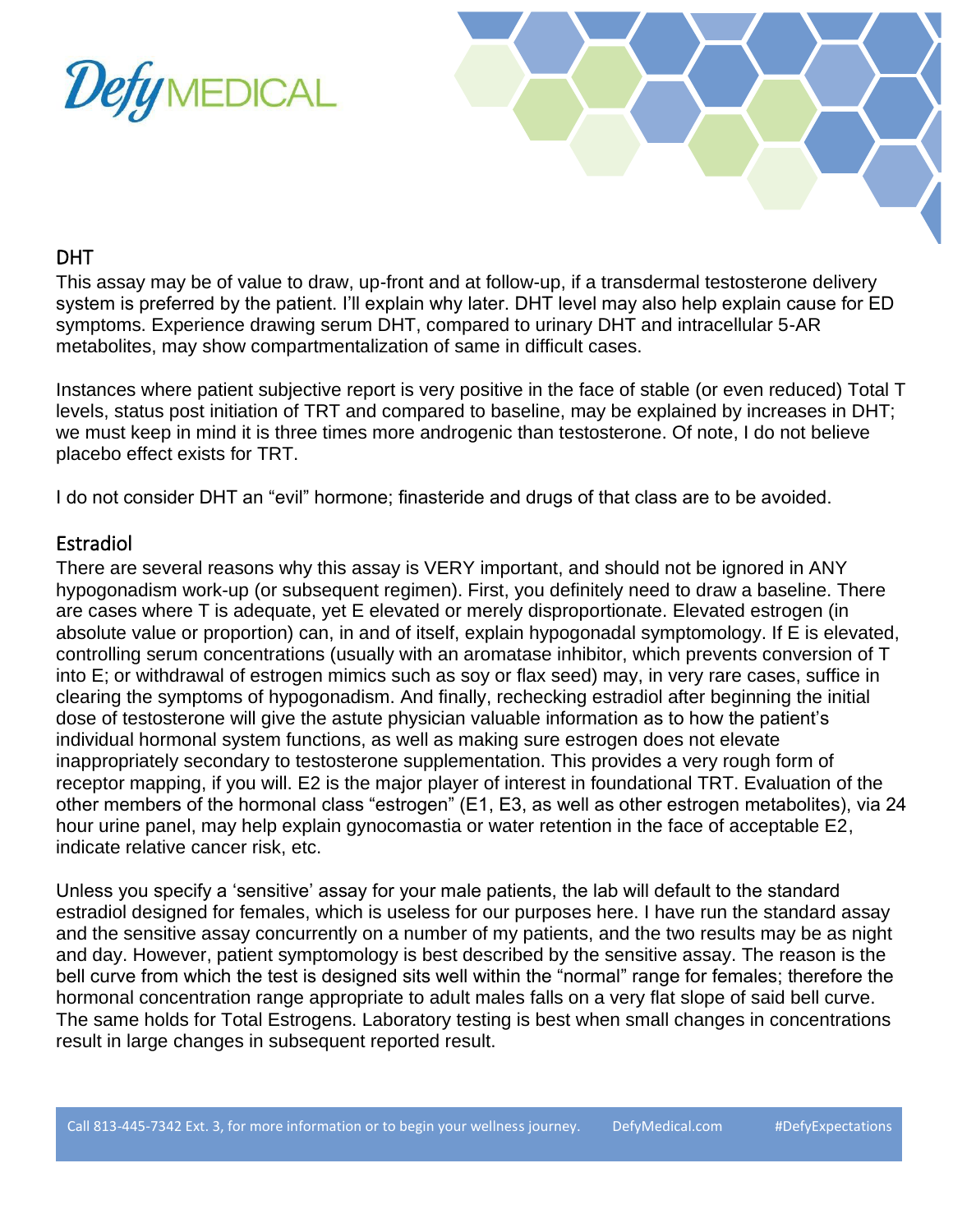



#### DHT

This assay may be of value to draw, up-front and at follow-up, if a transdermal testosterone delivery system is preferred by the patient. I'll explain why later. DHT level may also help explain cause for ED symptoms. Experience drawing serum DHT, compared to urinary DHT and intracellular 5-AR metabolites, may show compartmentalization of same in difficult cases.

Instances where patient subjective report is very positive in the face of stable (or even reduced) Total T levels, status post initiation of TRT and compared to baseline, may be explained by increases in DHT; we must keep in mind it is three times more androgenic than testosterone. Of note, I do not believe placebo effect exists for TRT.

I do not consider DHT an "evil" hormone; finasteride and drugs of that class are to be avoided.

#### Estradiol

There are several reasons why this assay is VERY important, and should not be ignored in ANY hypogonadism work-up (or subsequent regimen). First, you definitely need to draw a baseline. There are cases where T is adequate, yet E elevated or merely disproportionate. Elevated estrogen (in absolute value or proportion) can, in and of itself, explain hypogonadal symptomology. If E is elevated, controlling serum concentrations (usually with an aromatase inhibitor, which prevents conversion of T into E; or withdrawal of estrogen mimics such as soy or flax seed) may, in very rare cases, suffice in clearing the symptoms of hypogonadism. And finally, rechecking estradiol after beginning the initial dose of testosterone will give the astute physician valuable information as to how the patient's individual hormonal system functions, as well as making sure estrogen does not elevate inappropriately secondary to testosterone supplementation. This provides a very rough form of receptor mapping, if you will. E2 is the major player of interest in foundational TRT. Evaluation of the other members of the hormonal class "estrogen" (E1, E3, as well as other estrogen metabolites), via 24 hour urine panel, may help explain gynocomastia or water retention in the face of acceptable E2, indicate relative cancer risk, etc.

Unless you specify a 'sensitive' assay for your male patients, the lab will default to the standard estradiol designed for females, which is useless for our purposes here. I have run the standard assay and the sensitive assay concurrently on a number of my patients, and the two results may be as night and day. However, patient symptomology is best described by the sensitive assay. The reason is the bell curve from which the test is designed sits well within the "normal" range for females; therefore the hormonal concentration range appropriate to adult males falls on a very flat slope of said bell curve. The same holds for Total Estrogens. Laboratory testing is best when small changes in concentrations result in large changes in subsequent reported result.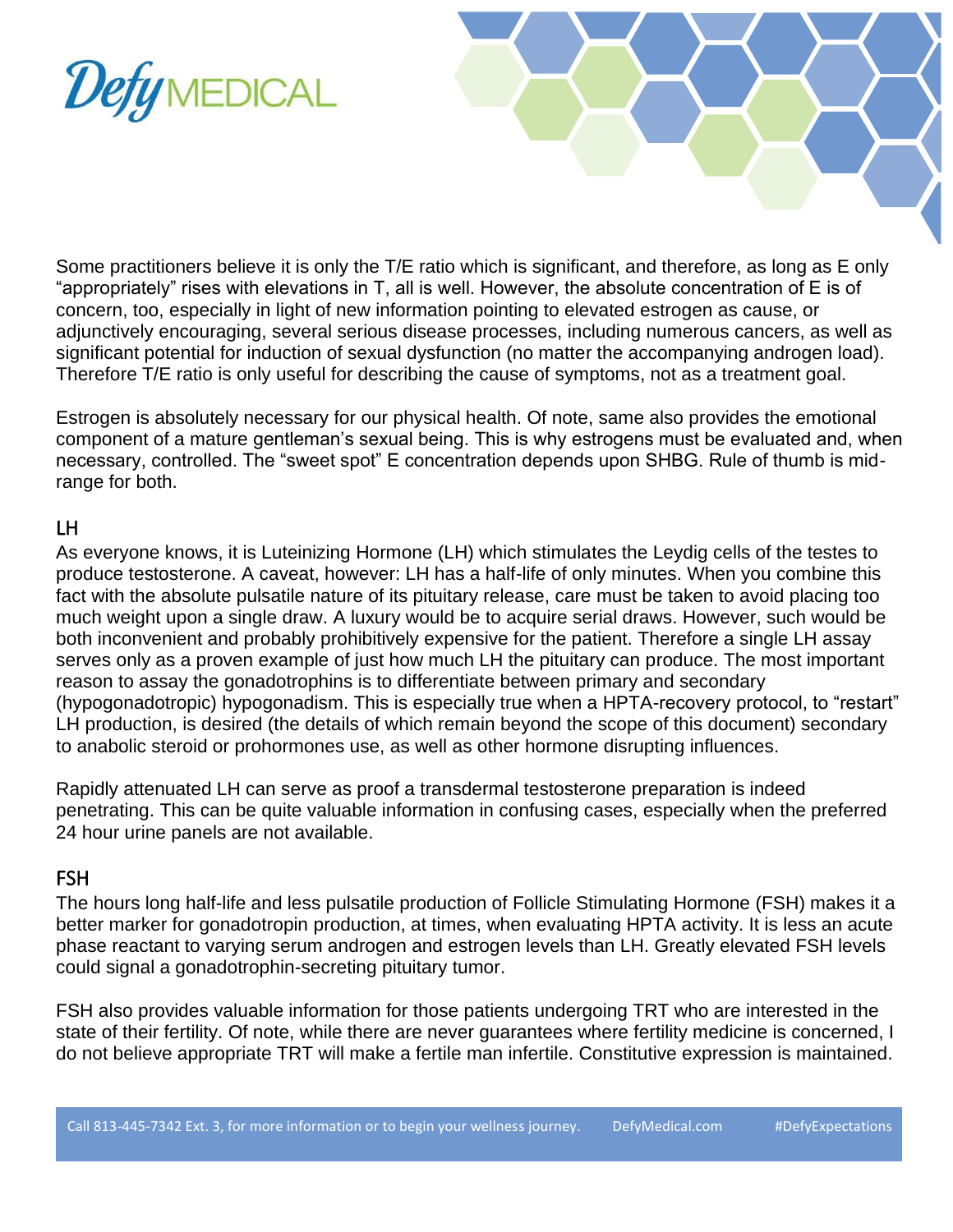



Some practitioners believe it is only the T/E ratio which is significant, and therefore, as long as E only "appropriately" rises with elevations in T, all is well. However, the absolute concentration of E is of concern, too, especially in light of new information pointing to elevated estrogen as cause, or adjunctively encouraging, several serious disease processes, including numerous cancers, as well as significant potential for induction of sexual dysfunction (no matter the accompanying androgen load). Therefore T/E ratio is only useful for describing the cause of symptoms, not as a treatment goal.

Estrogen is absolutely necessary for our physical health. Of note, same also provides the emotional component of a mature gentleman's sexual being. This is why estrogens must be evaluated and, when necessary, controlled. The "sweet spot" E concentration depends upon SHBG. Rule of thumb is midrange for both.

#### LH

As everyone knows, it is Luteinizing Hormone (LH) which stimulates the Leydig cells of the testes to produce testosterone. A caveat, however: LH has a half-life of only minutes. When you combine this fact with the absolute pulsatile nature of its pituitary release, care must be taken to avoid placing too much weight upon a single draw. A luxury would be to acquire serial draws. However, such would be both inconvenient and probably prohibitively expensive for the patient. Therefore a single LH assay serves only as a proven example of just how much LH the pituitary can produce. The most important reason to assay the gonadotrophins is to differentiate between primary and secondary (hypogonadotropic) hypogonadism. This is especially true when a HPTA-recovery protocol, to "restart" LH production, is desired (the details of which remain beyond the scope of this document) secondary to anabolic steroid or prohormones use, as well as other hormone disrupting influences.

Rapidly attenuated LH can serve as proof a transdermal testosterone preparation is indeed penetrating. This can be quite valuable information in confusing cases, especially when the preferred 24 hour urine panels are not available.

#### FSH

The hours long half-life and less pulsatile production of Follicle Stimulating Hormone (FSH) makes it a better marker for gonadotropin production, at times, when evaluating HPTA activity. It is less an acute phase reactant to varying serum androgen and estrogen levels than LH. Greatly elevated FSH levels could signal a gonadotrophin-secreting pituitary tumor.

FSH also provides valuable information for those patients undergoing TRT who are interested in the state of their fertility. Of note, while there are never guarantees where fertility medicine is concerned, I do not believe appropriate TRT will make a fertile man infertile. Constitutive expression is maintained.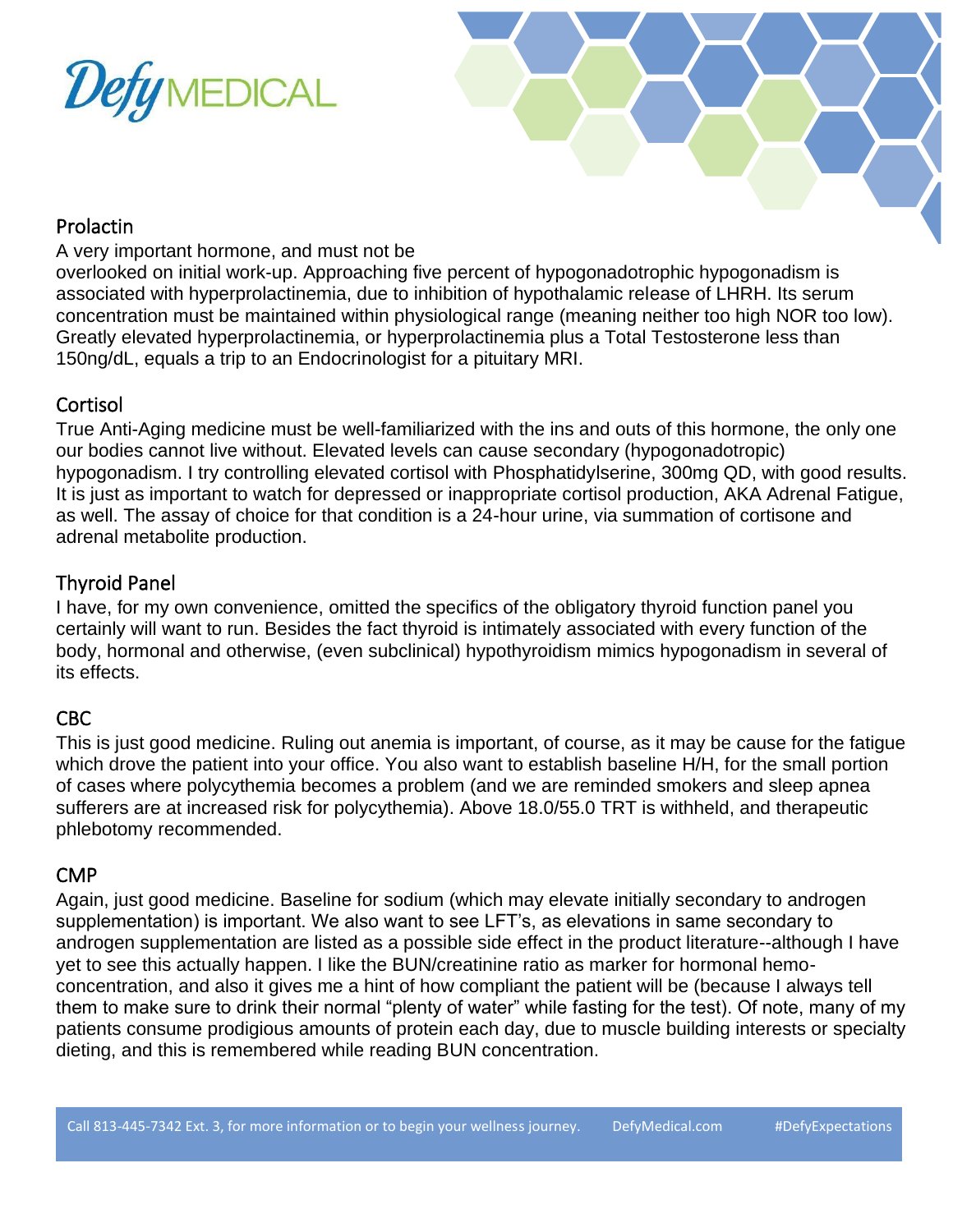



#### Prolactin

A very important hormone, and must not be

overlooked on initial work-up. Approaching five percent of hypogonadotrophic hypogonadism is associated with hyperprolactinemia, due to inhibition of hypothalamic release of LHRH. Its serum concentration must be maintained within physiological range (meaning neither too high NOR too low). Greatly elevated hyperprolactinemia, or hyperprolactinemia plus a Total Testosterone less than 150ng/dL, equals a trip to an Endocrinologist for a pituitary MRI.

## **Cortisol**

True Anti-Aging medicine must be well-familiarized with the ins and outs of this hormone, the only one our bodies cannot live without. Elevated levels can cause secondary (hypogonadotropic) hypogonadism. I try controlling elevated cortisol with Phosphatidylserine, 300mg QD, with good results. It is just as important to watch for depressed or inappropriate cortisol production, AKA Adrenal Fatigue, as well. The assay of choice for that condition is a 24-hour urine, via summation of cortisone and adrenal metabolite production.

## Thyroid Panel

I have, for my own convenience, omitted the specifics of the obligatory thyroid function panel you certainly will want to run. Besides the fact thyroid is intimately associated with every function of the body, hormonal and otherwise, (even subclinical) hypothyroidism mimics hypogonadism in several of its effects.

### CBC

This is just good medicine. Ruling out anemia is important, of course, as it may be cause for the fatigue which drove the patient into your office. You also want to establish baseline H/H, for the small portion of cases where polycythemia becomes a problem (and we are reminded smokers and sleep apnea sufferers are at increased risk for polycythemia). Above 18.0/55.0 TRT is withheld, and therapeutic phlebotomy recommended.

### CMP

Again, just good medicine. Baseline for sodium (which may elevate initially secondary to androgen supplementation) is important. We also want to see LFT's, as elevations in same secondary to androgen supplementation are listed as a possible side effect in the product literature--although I have yet to see this actually happen. I like the BUN/creatinine ratio as marker for hormonal hemoconcentration, and also it gives me a hint of how compliant the patient will be (because I always tell them to make sure to drink their normal "plenty of water" while fasting for the test). Of note, many of my patients consume prodigious amounts of protein each day, due to muscle building interests or specialty dieting, and this is remembered while reading BUN concentration.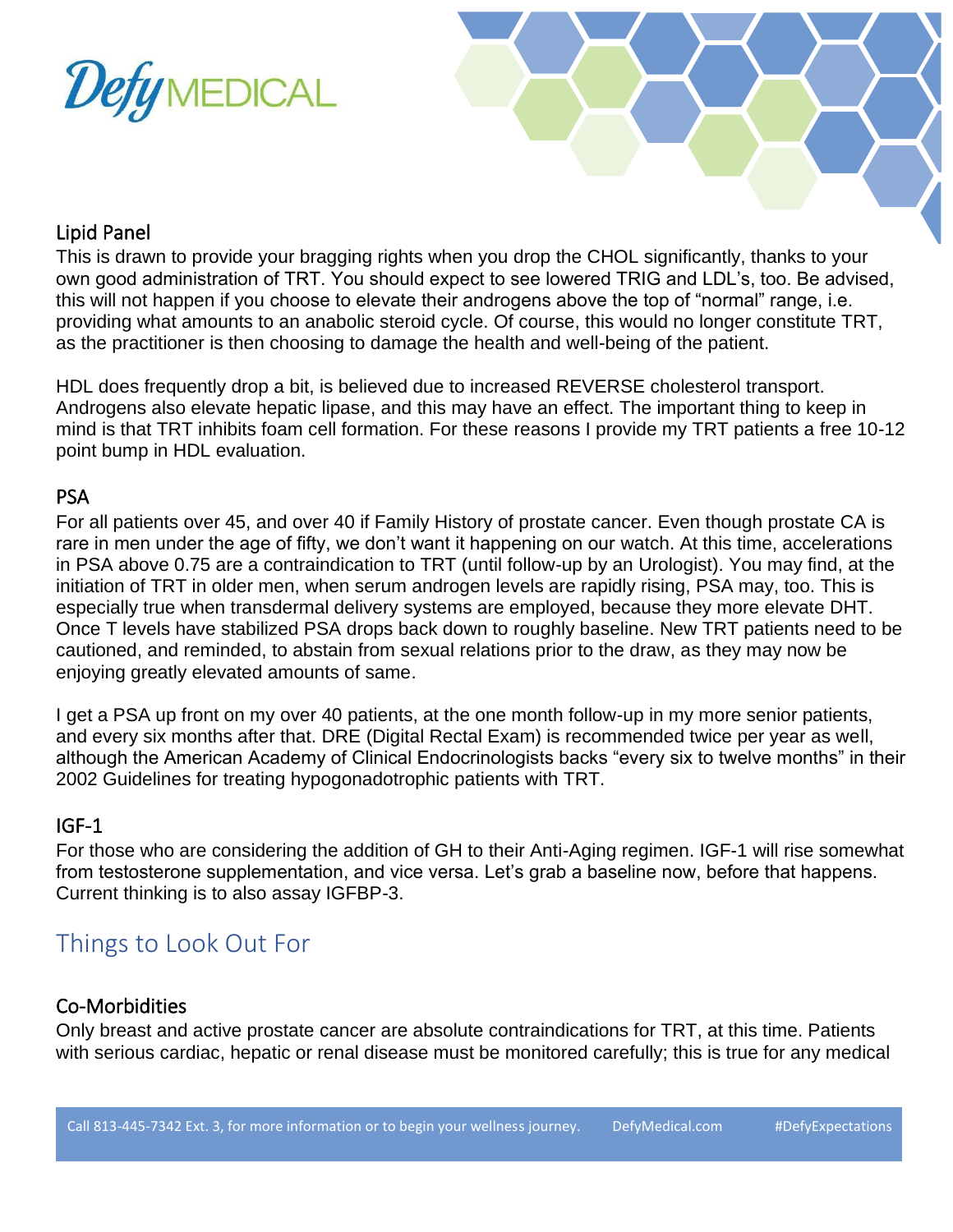



#### Lipid Panel

This is drawn to provide your bragging rights when you drop the CHOL significantly, thanks to your own good administration of TRT. You should expect to see lowered TRIG and LDL's, too. Be advised, this will not happen if you choose to elevate their androgens above the top of "normal" range, i.e. providing what amounts to an anabolic steroid cycle. Of course, this would no longer constitute TRT, as the practitioner is then choosing to damage the health and well-being of the patient.

HDL does frequently drop a bit, is believed due to increased REVERSE cholesterol transport. Androgens also elevate hepatic lipase, and this may have an effect. The important thing to keep in mind is that TRT inhibits foam cell formation. For these reasons I provide my TRT patients a free 10-12 point bump in HDL evaluation.

#### **PSA**

For all patients over 45, and over 40 if Family History of prostate cancer. Even though prostate CA is rare in men under the age of fifty, we don't want it happening on our watch. At this time, accelerations in PSA above 0.75 are a contraindication to TRT (until follow-up by an Urologist). You may find, at the initiation of TRT in older men, when serum androgen levels are rapidly rising, PSA may, too. This is especially true when transdermal delivery systems are employed, because they more elevate DHT. Once T levels have stabilized PSA drops back down to roughly baseline. New TRT patients need to be cautioned, and reminded, to abstain from sexual relations prior to the draw, as they may now be enjoying greatly elevated amounts of same.

I get a PSA up front on my over 40 patients, at the one month follow-up in my more senior patients, and every six months after that. DRE (Digital Rectal Exam) is recommended twice per year as well, although the American Academy of Clinical Endocrinologists backs "every six to twelve months" in their 2002 Guidelines for treating hypogonadotrophic patients with TRT.

#### IGF-1

For those who are considering the addition of GH to their Anti-Aging regimen. IGF-1 will rise somewhat from testosterone supplementation, and vice versa. Let's grab a baseline now, before that happens. Current thinking is to also assay IGFBP-3.

# Things to Look Out For

#### Co-Morbidities

Only breast and active prostate cancer are absolute contraindications for TRT, at this time. Patients with serious cardiac, hepatic or renal disease must be monitored carefully; this is true for any medical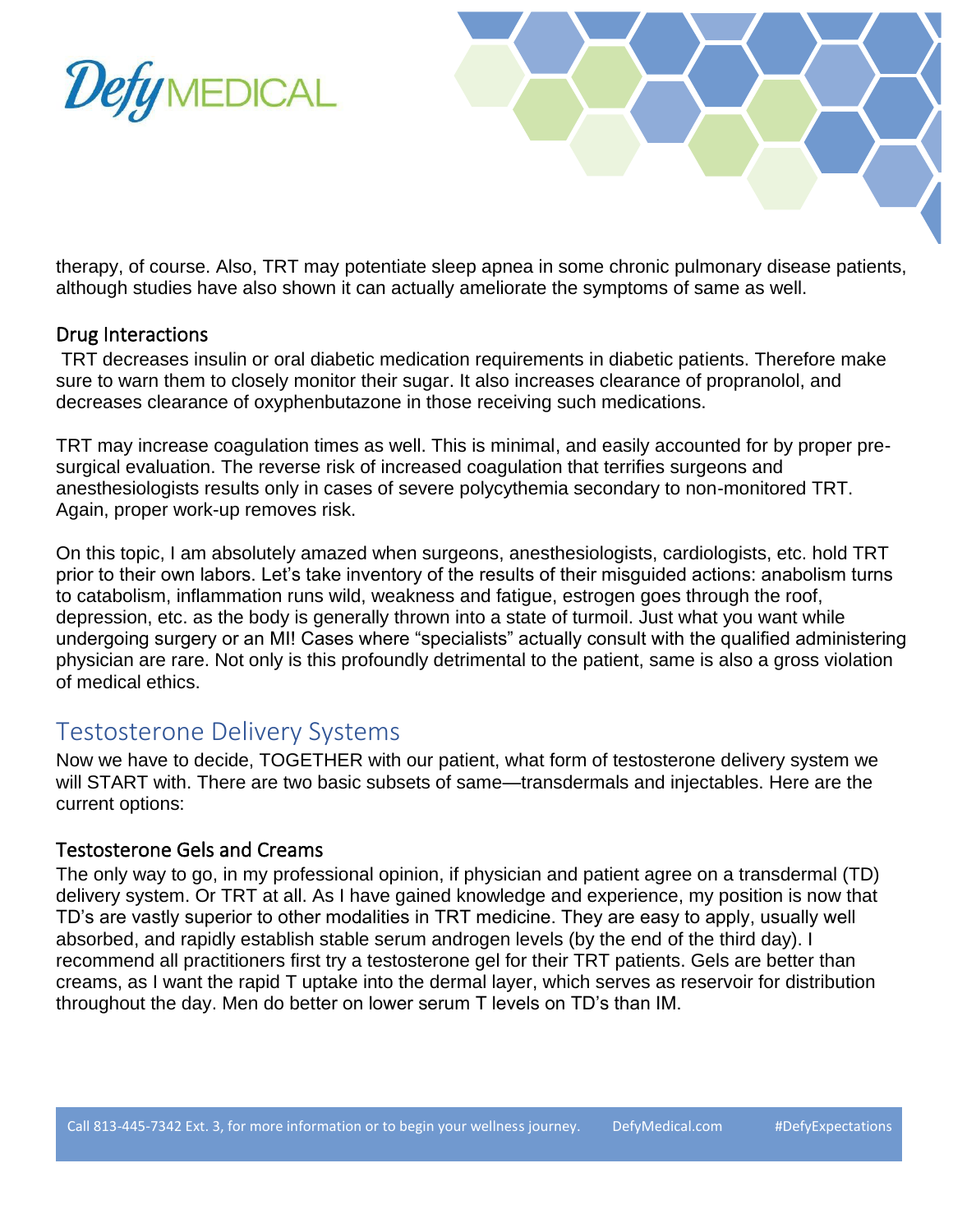



therapy, of course. Also, TRT may potentiate sleep apnea in some chronic pulmonary disease patients, although studies have also shown it can actually ameliorate the symptoms of same as well.

#### Drug Interactions

TRT decreases insulin or oral diabetic medication requirements in diabetic patients. Therefore make sure to warn them to closely monitor their sugar. It also increases clearance of propranolol, and decreases clearance of oxyphenbutazone in those receiving such medications.

TRT may increase coagulation times as well. This is minimal, and easily accounted for by proper presurgical evaluation. The reverse risk of increased coagulation that terrifies surgeons and anesthesiologists results only in cases of severe polycythemia secondary to non-monitored TRT. Again, proper work-up removes risk.

On this topic, I am absolutely amazed when surgeons, anesthesiologists, cardiologists, etc. hold TRT prior to their own labors. Let's take inventory of the results of their misguided actions: anabolism turns to catabolism, inflammation runs wild, weakness and fatigue, estrogen goes through the roof, depression, etc. as the body is generally thrown into a state of turmoil. Just what you want while undergoing surgery or an MI! Cases where "specialists" actually consult with the qualified administering physician are rare. Not only is this profoundly detrimental to the patient, same is also a gross violation of medical ethics.

# Testosterone Delivery Systems

Now we have to decide, TOGETHER with our patient, what form of testosterone delivery system we will START with. There are two basic subsets of same—transdermals and injectables. Here are the current options:

#### Testosterone Gels and Creams

The only way to go, in my professional opinion, if physician and patient agree on a transdermal (TD) delivery system. Or TRT at all. As I have gained knowledge and experience, my position is now that TD's are vastly superior to other modalities in TRT medicine. They are easy to apply, usually well absorbed, and rapidly establish stable serum androgen levels (by the end of the third day). I recommend all practitioners first try a testosterone gel for their TRT patients. Gels are better than creams, as I want the rapid T uptake into the dermal layer, which serves as reservoir for distribution throughout the day. Men do better on lower serum T levels on TD's than IM.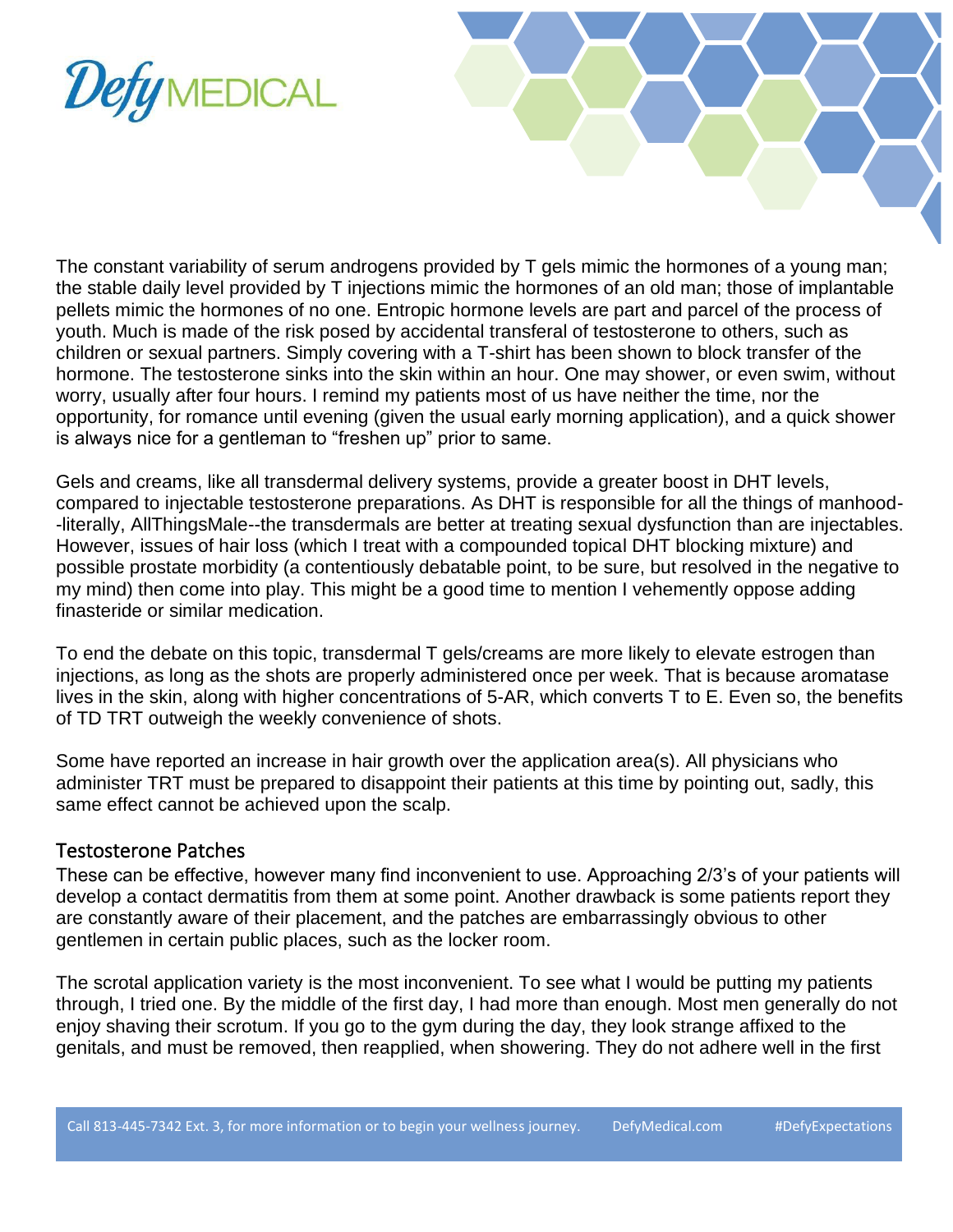



The constant variability of serum androgens provided by T gels mimic the hormones of a young man; the stable daily level provided by T injections mimic the hormones of an old man; those of implantable pellets mimic the hormones of no one. Entropic hormone levels are part and parcel of the process of youth. Much is made of the risk posed by accidental transferal of testosterone to others, such as children or sexual partners. Simply covering with a T-shirt has been shown to block transfer of the hormone. The testosterone sinks into the skin within an hour. One may shower, or even swim, without worry, usually after four hours. I remind my patients most of us have neither the time, nor the opportunity, for romance until evening (given the usual early morning application), and a quick shower is always nice for a gentleman to "freshen up" prior to same.

Gels and creams, like all transdermal delivery systems, provide a greater boost in DHT levels, compared to injectable testosterone preparations. As DHT is responsible for all the things of manhood- -literally, AllThingsMale--the transdermals are better at treating sexual dysfunction than are injectables. However, issues of hair loss (which I treat with a compounded topical DHT blocking mixture) and possible prostate morbidity (a contentiously debatable point, to be sure, but resolved in the negative to my mind) then come into play. This might be a good time to mention I vehemently oppose adding finasteride or similar medication.

To end the debate on this topic, transdermal T gels/creams are more likely to elevate estrogen than injections, as long as the shots are properly administered once per week. That is because aromatase lives in the skin, along with higher concentrations of 5-AR, which converts T to E. Even so, the benefits of TD TRT outweigh the weekly convenience of shots.

Some have reported an increase in hair growth over the application area(s). All physicians who administer TRT must be prepared to disappoint their patients at this time by pointing out, sadly, this same effect cannot be achieved upon the scalp.

#### Testosterone Patches

These can be effective, however many find inconvenient to use. Approaching 2/3's of your patients will develop a contact dermatitis from them at some point. Another drawback is some patients report they are constantly aware of their placement, and the patches are embarrassingly obvious to other gentlemen in certain public places, such as the locker room.

The scrotal application variety is the most inconvenient. To see what I would be putting my patients through, I tried one. By the middle of the first day, I had more than enough. Most men generally do not enjoy shaving their scrotum. If you go to the gym during the day, they look strange affixed to the genitals, and must be removed, then reapplied, when showering. They do not adhere well in the first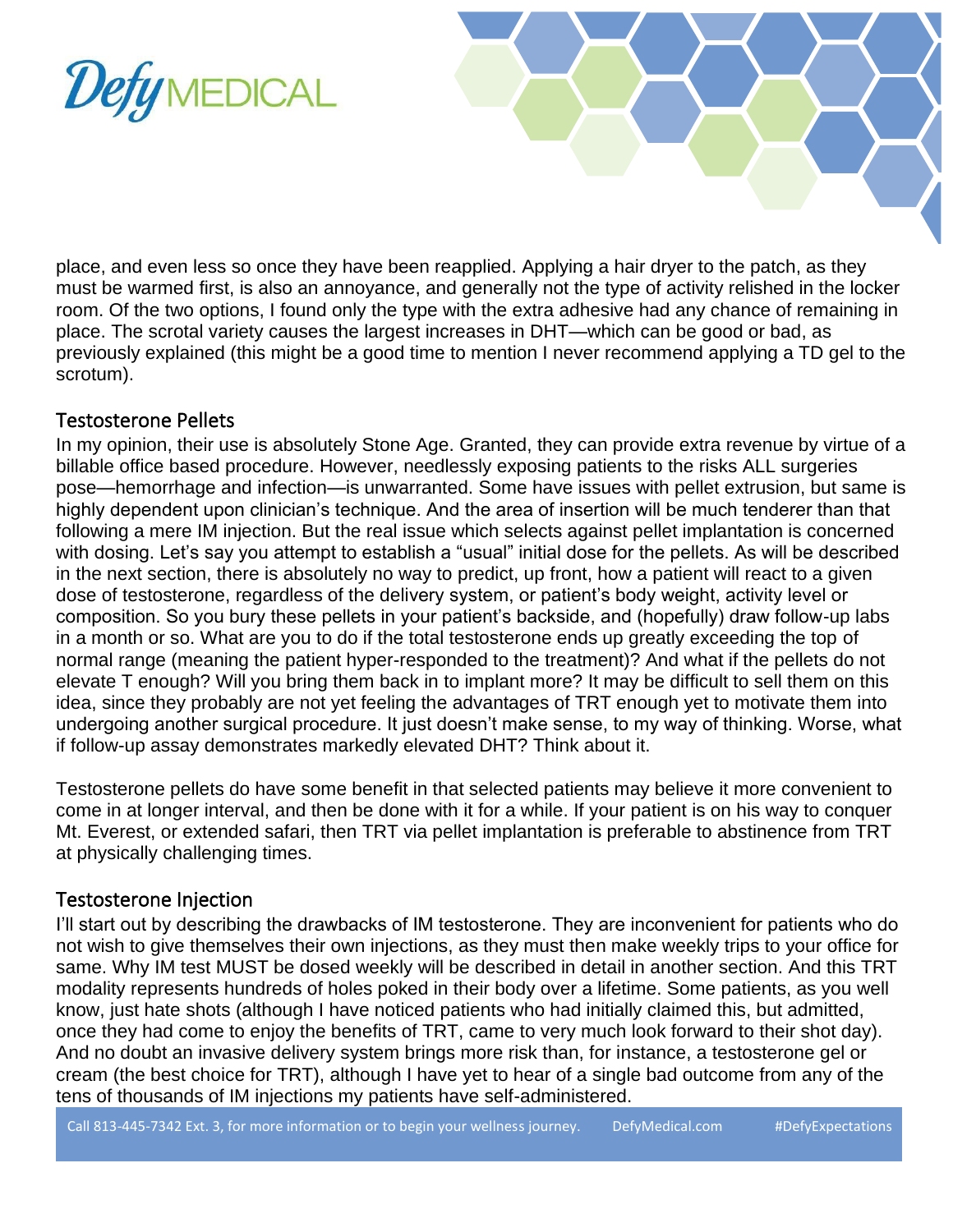



place, and even less so once they have been reapplied. Applying a hair dryer to the patch, as they must be warmed first, is also an annoyance, and generally not the type of activity relished in the locker room. Of the two options, I found only the type with the extra adhesive had any chance of remaining in place. The scrotal variety causes the largest increases in DHT—which can be good or bad, as previously explained (this might be a good time to mention I never recommend applying a TD gel to the scrotum).

#### Testosterone Pellets

In my opinion, their use is absolutely Stone Age. Granted, they can provide extra revenue by virtue of a billable office based procedure. However, needlessly exposing patients to the risks ALL surgeries pose—hemorrhage and infection—is unwarranted. Some have issues with pellet extrusion, but same is highly dependent upon clinician's technique. And the area of insertion will be much tenderer than that following a mere IM injection. But the real issue which selects against pellet implantation is concerned with dosing. Let's say you attempt to establish a "usual" initial dose for the pellets. As will be described in the next section, there is absolutely no way to predict, up front, how a patient will react to a given dose of testosterone, regardless of the delivery system, or patient's body weight, activity level or composition. So you bury these pellets in your patient's backside, and (hopefully) draw follow-up labs in a month or so. What are you to do if the total testosterone ends up greatly exceeding the top of normal range (meaning the patient hyper-responded to the treatment)? And what if the pellets do not elevate T enough? Will you bring them back in to implant more? It may be difficult to sell them on this idea, since they probably are not yet feeling the advantages of TRT enough yet to motivate them into undergoing another surgical procedure. It just doesn't make sense, to my way of thinking. Worse, what if follow-up assay demonstrates markedly elevated DHT? Think about it.

Testosterone pellets do have some benefit in that selected patients may believe it more convenient to come in at longer interval, and then be done with it for a while. If your patient is on his way to conquer Mt. Everest, or extended safari, then TRT via pellet implantation is preferable to abstinence from TRT at physically challenging times.

#### Testosterone Injection

I'll start out by describing the drawbacks of IM testosterone. They are inconvenient for patients who do not wish to give themselves their own injections, as they must then make weekly trips to your office for same. Why IM test MUST be dosed weekly will be described in detail in another section. And this TRT modality represents hundreds of holes poked in their body over a lifetime. Some patients, as you well know, just hate shots (although I have noticed patients who had initially claimed this, but admitted, once they had come to enjoy the benefits of TRT, came to very much look forward to their shot day). And no doubt an invasive delivery system brings more risk than, for instance, a testosterone gel or cream (the best choice for TRT), although I have yet to hear of a single bad outcome from any of the tens of thousands of IM injections my patients have self-administered.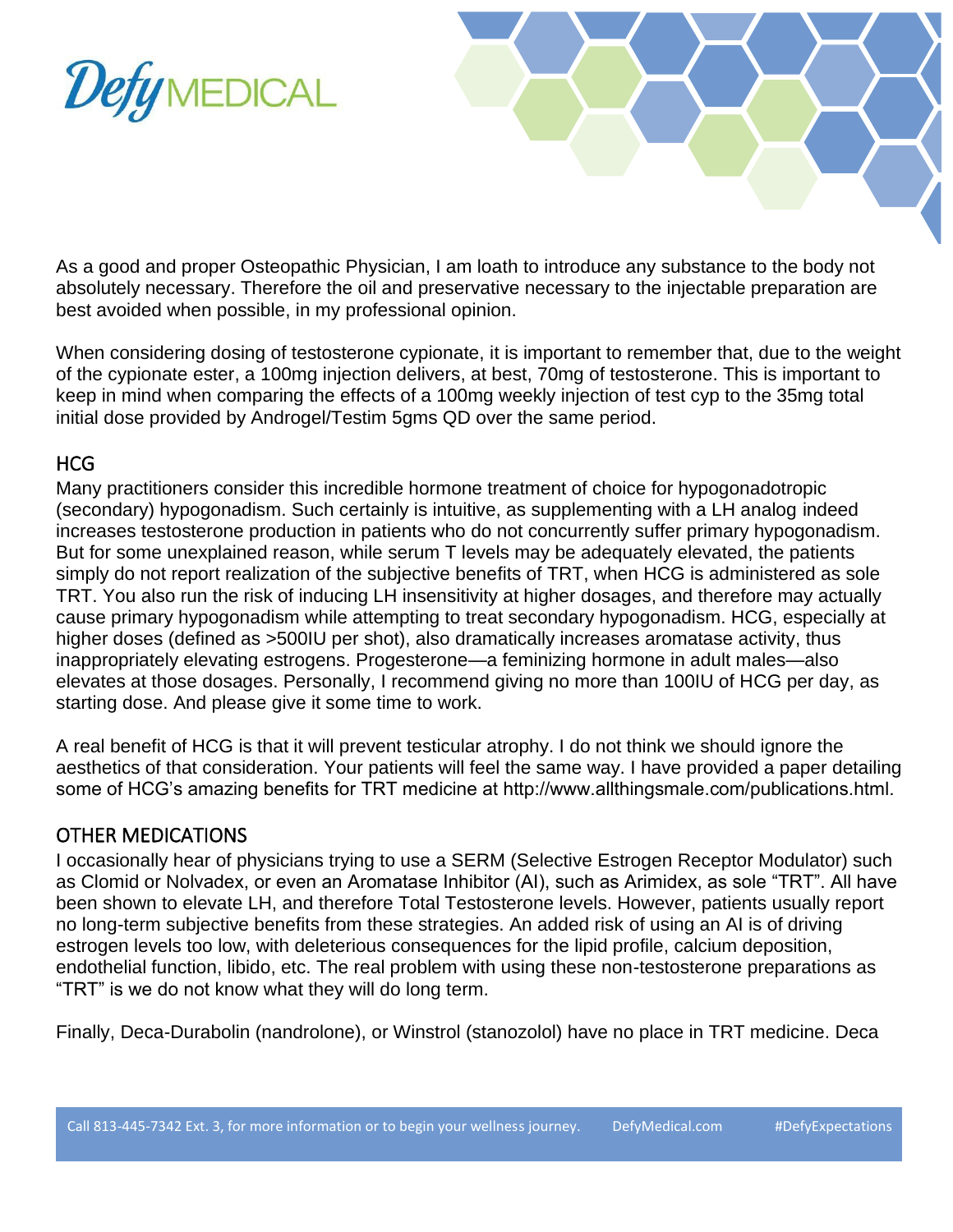



As a good and proper Osteopathic Physician, I am loath to introduce any substance to the body not absolutely necessary. Therefore the oil and preservative necessary to the injectable preparation are best avoided when possible, in my professional opinion.

When considering dosing of testosterone cypionate, it is important to remember that, due to the weight of the cypionate ester, a 100mg injection delivers, at best, 70mg of testosterone. This is important to keep in mind when comparing the effects of a 100mg weekly injection of test cyp to the 35mg total initial dose provided by Androgel/Testim 5gms QD over the same period.

#### HCG

Many practitioners consider this incredible hormone treatment of choice for hypogonadotropic (secondary) hypogonadism. Such certainly is intuitive, as supplementing with a LH analog indeed increases testosterone production in patients who do not concurrently suffer primary hypogonadism. But for some unexplained reason, while serum T levels may be adequately elevated, the patients simply do not report realization of the subjective benefits of TRT, when HCG is administered as sole TRT. You also run the risk of inducing LH insensitivity at higher dosages, and therefore may actually cause primary hypogonadism while attempting to treat secondary hypogonadism. HCG, especially at higher doses (defined as >500IU per shot), also dramatically increases aromatase activity, thus inappropriately elevating estrogens. Progesterone—a feminizing hormone in adult males—also elevates at those dosages. Personally, I recommend giving no more than 100IU of HCG per day, as starting dose. And please give it some time to work.

A real benefit of HCG is that it will prevent testicular atrophy. I do not think we should ignore the aesthetics of that consideration. Your patients will feel the same way. I have provided a paper detailing some of HCG's amazing benefits for TRT medicine at http://www.allthingsmale.com/publications.html.

#### OTHER MEDICATIONS

I occasionally hear of physicians trying to use a SERM (Selective Estrogen Receptor Modulator) such as Clomid or Nolvadex, or even an Aromatase Inhibitor (AI), such as Arimidex, as sole "TRT". All have been shown to elevate LH, and therefore Total Testosterone levels. However, patients usually report no long-term subjective benefits from these strategies. An added risk of using an AI is of driving estrogen levels too low, with deleterious consequences for the lipid profile, calcium deposition, endothelial function, libido, etc. The real problem with using these non-testosterone preparations as "TRT" is we do not know what they will do long term.

Finally, Deca-Durabolin (nandrolone), or Winstrol (stanozolol) have no place in TRT medicine. Deca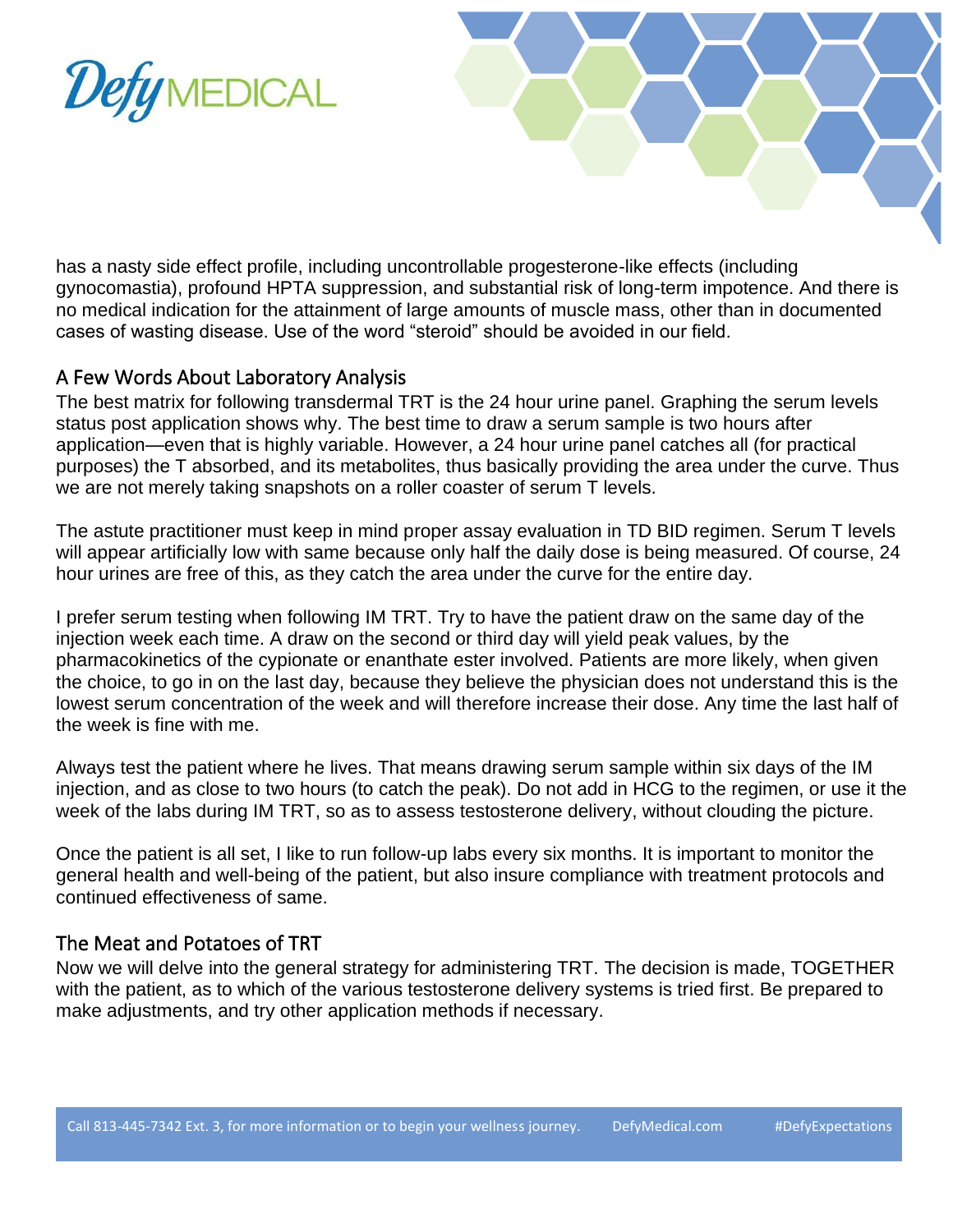



has a nasty side effect profile, including uncontrollable progesterone-like effects (including gynocomastia), profound HPTA suppression, and substantial risk of long-term impotence. And there is no medical indication for the attainment of large amounts of muscle mass, other than in documented cases of wasting disease. Use of the word "steroid" should be avoided in our field.

#### A Few Words About Laboratory Analysis

The best matrix for following transdermal TRT is the 24 hour urine panel. Graphing the serum levels status post application shows why. The best time to draw a serum sample is two hours after application—even that is highly variable. However, a 24 hour urine panel catches all (for practical purposes) the T absorbed, and its metabolites, thus basically providing the area under the curve. Thus we are not merely taking snapshots on a roller coaster of serum T levels.

The astute practitioner must keep in mind proper assay evaluation in TD BID regimen. Serum T levels will appear artificially low with same because only half the daily dose is being measured. Of course, 24 hour urines are free of this, as they catch the area under the curve for the entire day.

I prefer serum testing when following IM TRT. Try to have the patient draw on the same day of the injection week each time. A draw on the second or third day will yield peak values, by the pharmacokinetics of the cypionate or enanthate ester involved. Patients are more likely, when given the choice, to go in on the last day, because they believe the physician does not understand this is the lowest serum concentration of the week and will therefore increase their dose. Any time the last half of the week is fine with me.

Always test the patient where he lives. That means drawing serum sample within six days of the IM injection, and as close to two hours (to catch the peak). Do not add in HCG to the regimen, or use it the week of the labs during IM TRT, so as to assess testosterone delivery, without clouding the picture.

Once the patient is all set, I like to run follow-up labs every six months. It is important to monitor the general health and well-being of the patient, but also insure compliance with treatment protocols and continued effectiveness of same.

#### The Meat and Potatoes of TRT

Now we will delve into the general strategy for administering TRT. The decision is made, TOGETHER with the patient, as to which of the various testosterone delivery systems is tried first. Be prepared to make adjustments, and try other application methods if necessary.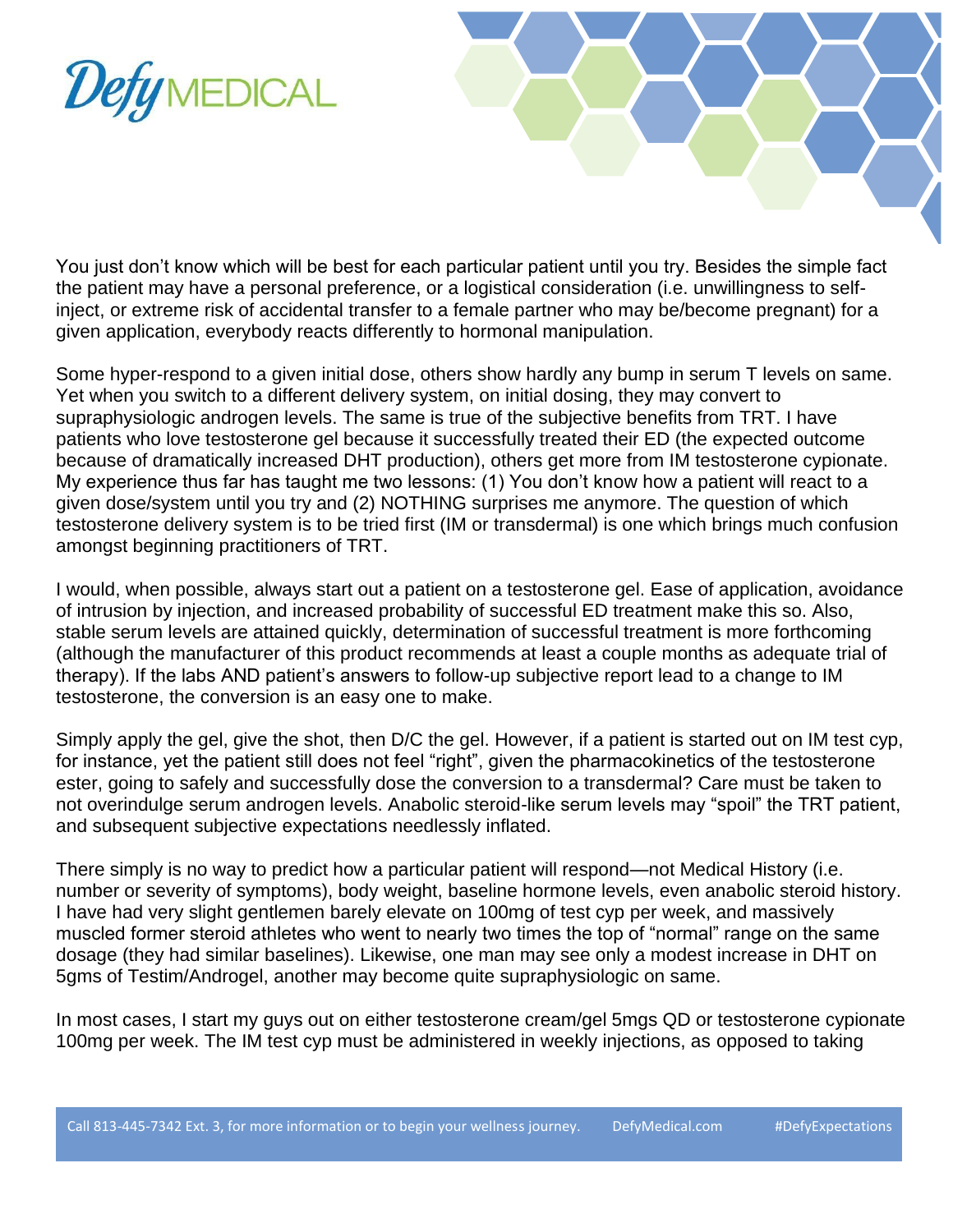



You just don't know which will be best for each particular patient until you try. Besides the simple fact the patient may have a personal preference, or a logistical consideration (i.e. unwillingness to selfinject, or extreme risk of accidental transfer to a female partner who may be/become pregnant) for a given application, everybody reacts differently to hormonal manipulation.

Some hyper-respond to a given initial dose, others show hardly any bump in serum T levels on same. Yet when you switch to a different delivery system, on initial dosing, they may convert to supraphysiologic androgen levels. The same is true of the subjective benefits from TRT. I have patients who love testosterone gel because it successfully treated their ED (the expected outcome because of dramatically increased DHT production), others get more from IM testosterone cypionate. My experience thus far has taught me two lessons: (1) You don't know how a patient will react to a given dose/system until you try and (2) NOTHING surprises me anymore. The question of which testosterone delivery system is to be tried first (IM or transdermal) is one which brings much confusion amongst beginning practitioners of TRT.

I would, when possible, always start out a patient on a testosterone gel. Ease of application, avoidance of intrusion by injection, and increased probability of successful ED treatment make this so. Also, stable serum levels are attained quickly, determination of successful treatment is more forthcoming (although the manufacturer of this product recommends at least a couple months as adequate trial of therapy). If the labs AND patient's answers to follow-up subjective report lead to a change to IM testosterone, the conversion is an easy one to make.

Simply apply the gel, give the shot, then D/C the gel. However, if a patient is started out on IM test cyp, for instance, yet the patient still does not feel "right", given the pharmacokinetics of the testosterone ester, going to safely and successfully dose the conversion to a transdermal? Care must be taken to not overindulge serum androgen levels. Anabolic steroid-like serum levels may "spoil" the TRT patient, and subsequent subjective expectations needlessly inflated.

There simply is no way to predict how a particular patient will respond—not Medical History (i.e. number or severity of symptoms), body weight, baseline hormone levels, even anabolic steroid history. I have had very slight gentlemen barely elevate on 100mg of test cyp per week, and massively muscled former steroid athletes who went to nearly two times the top of "normal" range on the same dosage (they had similar baselines). Likewise, one man may see only a modest increase in DHT on 5gms of Testim/Androgel, another may become quite supraphysiologic on same.

In most cases, I start my guys out on either testosterone cream/gel 5mgs QD or testosterone cypionate 100mg per week. The IM test cyp must be administered in weekly injections, as opposed to taking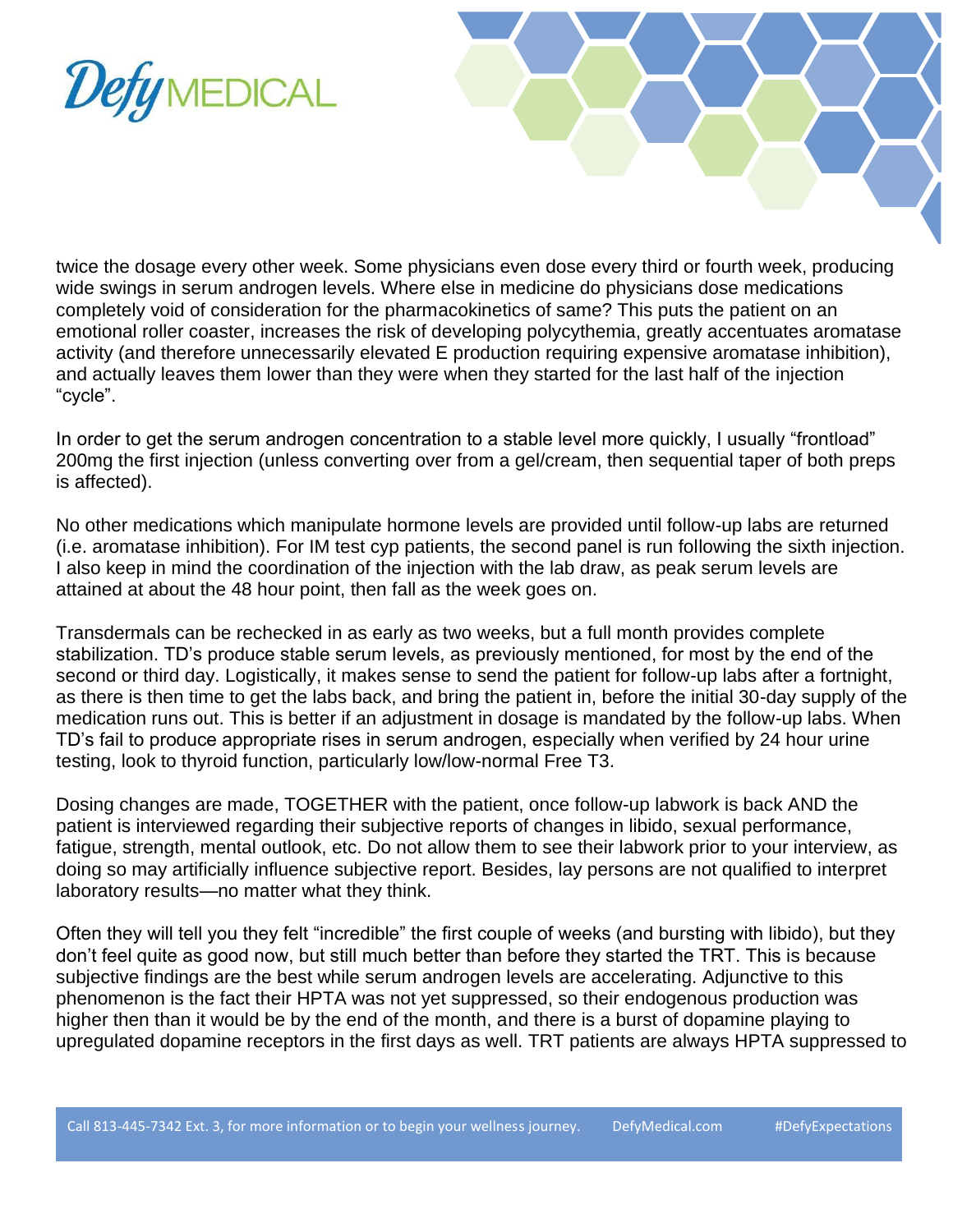



twice the dosage every other week. Some physicians even dose every third or fourth week, producing wide swings in serum androgen levels. Where else in medicine do physicians dose medications completely void of consideration for the pharmacokinetics of same? This puts the patient on an emotional roller coaster, increases the risk of developing polycythemia, greatly accentuates aromatase activity (and therefore unnecessarily elevated E production requiring expensive aromatase inhibition), and actually leaves them lower than they were when they started for the last half of the injection "cycle".

In order to get the serum androgen concentration to a stable level more quickly, I usually "frontload" 200mg the first injection (unless converting over from a gel/cream, then sequential taper of both preps is affected).

No other medications which manipulate hormone levels are provided until follow-up labs are returned (i.e. aromatase inhibition). For IM test cyp patients, the second panel is run following the sixth injection. I also keep in mind the coordination of the injection with the lab draw, as peak serum levels are attained at about the 48 hour point, then fall as the week goes on.

Transdermals can be rechecked in as early as two weeks, but a full month provides complete stabilization. TD's produce stable serum levels, as previously mentioned, for most by the end of the second or third day. Logistically, it makes sense to send the patient for follow-up labs after a fortnight, as there is then time to get the labs back, and bring the patient in, before the initial 30-day supply of the medication runs out. This is better if an adjustment in dosage is mandated by the follow-up labs. When TD's fail to produce appropriate rises in serum androgen, especially when verified by 24 hour urine testing, look to thyroid function, particularly low/low-normal Free T3.

Dosing changes are made, TOGETHER with the patient, once follow-up labwork is back AND the patient is interviewed regarding their subjective reports of changes in libido, sexual performance, fatigue, strength, mental outlook, etc. Do not allow them to see their labwork prior to your interview, as doing so may artificially influence subjective report. Besides, lay persons are not qualified to interpret laboratory results—no matter what they think.

Often they will tell you they felt "incredible" the first couple of weeks (and bursting with libido), but they don't feel quite as good now, but still much better than before they started the TRT. This is because subjective findings are the best while serum androgen levels are accelerating. Adjunctive to this phenomenon is the fact their HPTA was not yet suppressed, so their endogenous production was higher then than it would be by the end of the month, and there is a burst of dopamine playing to upregulated dopamine receptors in the first days as well. TRT patients are always HPTA suppressed to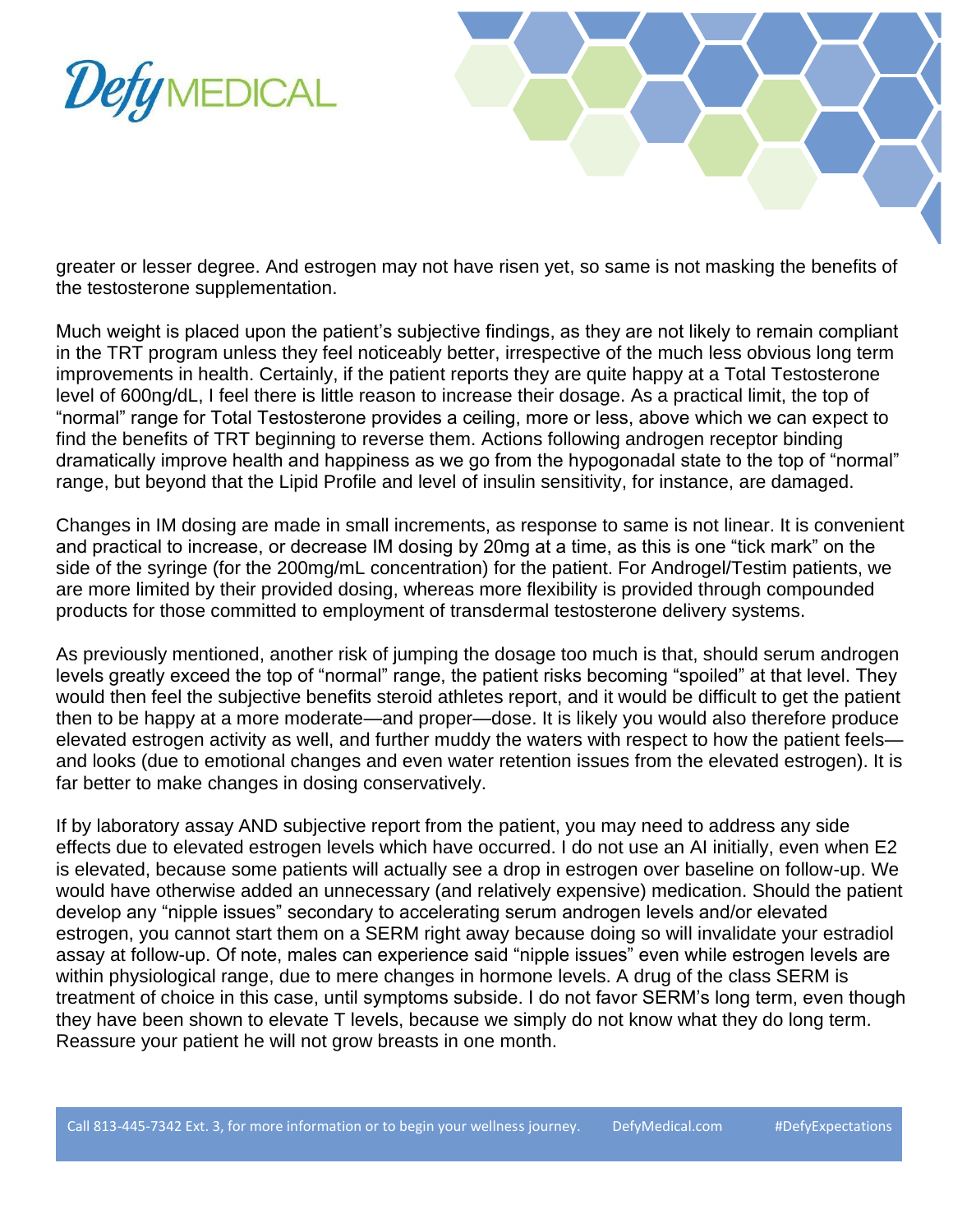



greater or lesser degree. And estrogen may not have risen yet, so same is not masking the benefits of the testosterone supplementation.

Much weight is placed upon the patient's subjective findings, as they are not likely to remain compliant in the TRT program unless they feel noticeably better, irrespective of the much less obvious long term improvements in health. Certainly, if the patient reports they are quite happy at a Total Testosterone level of 600ng/dL, I feel there is little reason to increase their dosage. As a practical limit, the top of "normal" range for Total Testosterone provides a ceiling, more or less, above which we can expect to find the benefits of TRT beginning to reverse them. Actions following androgen receptor binding dramatically improve health and happiness as we go from the hypogonadal state to the top of "normal" range, but beyond that the Lipid Profile and level of insulin sensitivity, for instance, are damaged.

Changes in IM dosing are made in small increments, as response to same is not linear. It is convenient and practical to increase, or decrease IM dosing by 20mg at a time, as this is one "tick mark" on the side of the syringe (for the 200mg/mL concentration) for the patient. For Androgel/Testim patients, we are more limited by their provided dosing, whereas more flexibility is provided through compounded products for those committed to employment of transdermal testosterone delivery systems.

As previously mentioned, another risk of jumping the dosage too much is that, should serum androgen levels greatly exceed the top of "normal" range, the patient risks becoming "spoiled" at that level. They would then feel the subjective benefits steroid athletes report, and it would be difficult to get the patient then to be happy at a more moderate—and proper—dose. It is likely you would also therefore produce elevated estrogen activity as well, and further muddy the waters with respect to how the patient feels and looks (due to emotional changes and even water retention issues from the elevated estrogen). It is far better to make changes in dosing conservatively.

If by laboratory assay AND subjective report from the patient, you may need to address any side effects due to elevated estrogen levels which have occurred. I do not use an AI initially, even when E2 is elevated, because some patients will actually see a drop in estrogen over baseline on follow-up. We would have otherwise added an unnecessary (and relatively expensive) medication. Should the patient develop any "nipple issues" secondary to accelerating serum androgen levels and/or elevated estrogen, you cannot start them on a SERM right away because doing so will invalidate your estradiol assay at follow-up. Of note, males can experience said "nipple issues" even while estrogen levels are within physiological range, due to mere changes in hormone levels. A drug of the class SERM is treatment of choice in this case, until symptoms subside. I do not favor SERM's long term, even though they have been shown to elevate T levels, because we simply do not know what they do long term. Reassure your patient he will not grow breasts in one month.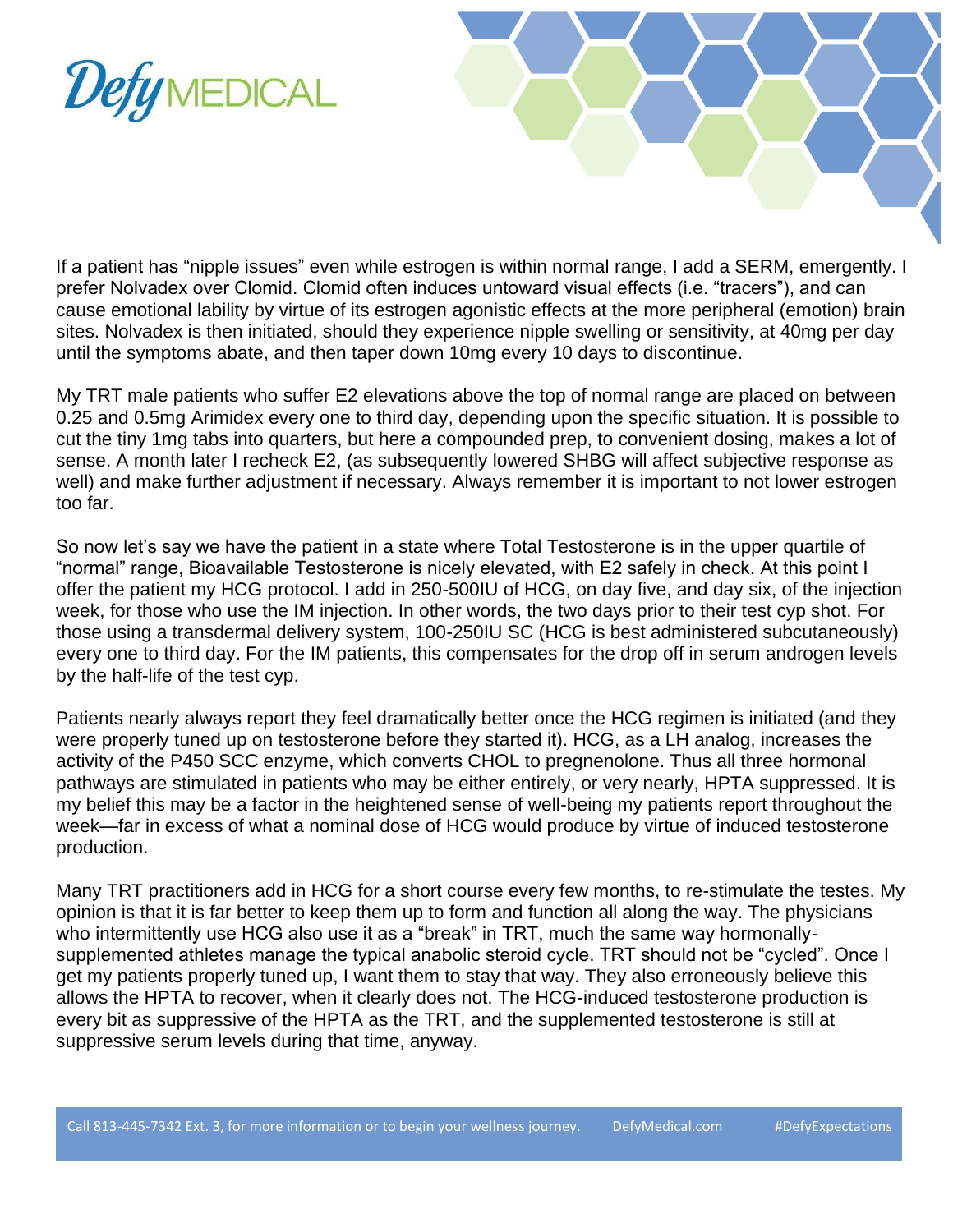



If a patient has "nipple issues" even while estrogen is within normal range, I add a SERM, emergently. I prefer Nolvadex over Clomid. Clomid often induces untoward visual effects (i.e. "tracers"), and can cause emotional lability by virtue of its estrogen agonistic effects at the more peripheral (emotion) brain sites. Nolvadex is then initiated, should they experience nipple swelling or sensitivity, at 40mg per day until the symptoms abate, and then taper down 10mg every 10 days to discontinue.

My TRT male patients who suffer E2 elevations above the top of normal range are placed on between 0.25 and 0.5mg Arimidex every one to third day, depending upon the specific situation. It is possible to cut the tiny 1mg tabs into quarters, but here a compounded prep, to convenient dosing, makes a lot of sense. A month later I recheck E2, (as subsequently lowered SHBG will affect subjective response as well) and make further adjustment if necessary. Always remember it is important to not lower estrogen too far.

So now let's say we have the patient in a state where Total Testosterone is in the upper quartile of "normal" range, Bioavailable Testosterone is nicely elevated, with E2 safely in check. At this point I offer the patient my HCG protocol. I add in 250-500IU of HCG, on day five, and day six, of the injection week, for those who use the IM injection. In other words, the two days prior to their test cyp shot. For those using a transdermal delivery system, 100-250IU SC (HCG is best administered subcutaneously) every one to third day. For the IM patients, this compensates for the drop off in serum androgen levels by the half-life of the test cyp.

Patients nearly always report they feel dramatically better once the HCG regimen is initiated (and they were properly tuned up on testosterone before they started it). HCG, as a LH analog, increases the activity of the P450 SCC enzyme, which converts CHOL to pregnenolone. Thus all three hormonal pathways are stimulated in patients who may be either entirely, or very nearly, HPTA suppressed. It is my belief this may be a factor in the heightened sense of well-being my patients report throughout the week—far in excess of what a nominal dose of HCG would produce by virtue of induced testosterone production.

Many TRT practitioners add in HCG for a short course every few months, to re-stimulate the testes. My opinion is that it is far better to keep them up to form and function all along the way. The physicians who intermittently use HCG also use it as a "break" in TRT, much the same way hormonallysupplemented athletes manage the typical anabolic steroid cycle. TRT should not be "cycled". Once I get my patients properly tuned up, I want them to stay that way. They also erroneously believe this allows the HPTA to recover, when it clearly does not. The HCG-induced testosterone production is every bit as suppressive of the HPTA as the TRT, and the supplemented testosterone is still at suppressive serum levels during that time, anyway.